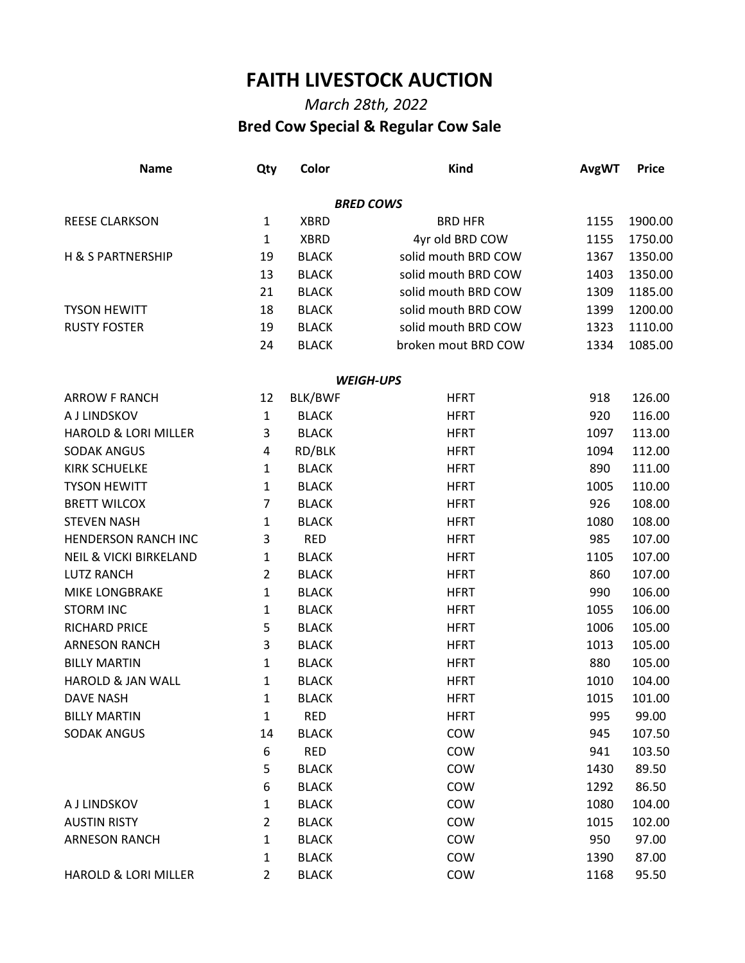## **FAITH LIVESTOCK AUCTION**

## *March 28th, 2022*  **Bred Cow Special & Regular Cow Sale**

| <b>Name</b>                       | Qty            | Color        | <b>Kind</b>         | <b>AvgWT</b> | <b>Price</b> |
|-----------------------------------|----------------|--------------|---------------------|--------------|--------------|
|                                   |                |              | <b>BRED COWS</b>    |              |              |
| <b>REESE CLARKSON</b>             | $\mathbf{1}$   | <b>XBRD</b>  | <b>BRD HFR</b>      | 1155         | 1900.00      |
|                                   | $\mathbf{1}$   | <b>XBRD</b>  | 4yr old BRD COW     | 1155         | 1750.00      |
| <b>H &amp; S PARTNERSHIP</b>      | 19             | <b>BLACK</b> | solid mouth BRD COW | 1367         | 1350.00      |
|                                   | 13             | <b>BLACK</b> | solid mouth BRD COW | 1403         | 1350.00      |
|                                   | 21             | <b>BLACK</b> | solid mouth BRD COW | 1309         | 1185.00      |
| <b>TYSON HEWITT</b>               | 18             | <b>BLACK</b> | solid mouth BRD COW | 1399         | 1200.00      |
| <b>RUSTY FOSTER</b>               | 19             | <b>BLACK</b> | solid mouth BRD COW | 1323         | 1110.00      |
|                                   | 24             | <b>BLACK</b> | broken mout BRD COW | 1334         | 1085.00      |
|                                   |                |              | <b>WEIGH-UPS</b>    |              |              |
| <b>ARROW F RANCH</b>              | 12             | BLK/BWF      | <b>HFRT</b>         | 918          | 126.00       |
| A J LINDSKOV                      | $\mathbf{1}$   | <b>BLACK</b> | <b>HFRT</b>         | 920          | 116.00       |
| <b>HAROLD &amp; LORI MILLER</b>   | 3              | <b>BLACK</b> | <b>HFRT</b>         | 1097         | 113.00       |
| <b>SODAK ANGUS</b>                | 4              | RD/BLK       | <b>HFRT</b>         | 1094         | 112.00       |
| <b>KIRK SCHUELKE</b>              | $\mathbf{1}$   | <b>BLACK</b> | <b>HFRT</b>         | 890          | 111.00       |
| <b>TYSON HEWITT</b>               | 1              | <b>BLACK</b> | <b>HFRT</b>         | 1005         | 110.00       |
| <b>BRETT WILCOX</b>               | 7              | <b>BLACK</b> | <b>HFRT</b>         | 926          | 108.00       |
| <b>STEVEN NASH</b>                | 1              | <b>BLACK</b> | <b>HFRT</b>         | 1080         | 108.00       |
| <b>HENDERSON RANCH INC</b>        | 3              | <b>RED</b>   | <b>HFRT</b>         | 985          | 107.00       |
| <b>NEIL &amp; VICKI BIRKELAND</b> | 1              | <b>BLACK</b> | <b>HFRT</b>         | 1105         | 107.00       |
| <b>LUTZ RANCH</b>                 | $\overline{2}$ | <b>BLACK</b> | <b>HFRT</b>         | 860          | 107.00       |
| MIKE LONGBRAKE                    | 1              | <b>BLACK</b> | <b>HFRT</b>         | 990          | 106.00       |
| <b>STORM INC</b>                  | 1              | <b>BLACK</b> | <b>HFRT</b>         | 1055         | 106.00       |
| <b>RICHARD PRICE</b>              | 5              | <b>BLACK</b> | <b>HFRT</b>         | 1006         | 105.00       |
| <b>ARNESON RANCH</b>              | 3              | <b>BLACK</b> | <b>HFRT</b>         | 1013         | 105.00       |
| <b>BILLY MARTIN</b>               | $\mathbf{1}$   | <b>BLACK</b> | <b>HFRT</b>         | 880          | 105.00       |
| <b>HAROLD &amp; JAN WALL</b>      | 1              | <b>BLACK</b> | <b>HFRT</b>         | 1010         | 104.00       |
| <b>DAVE NASH</b>                  | $\mathbf{1}$   | <b>BLACK</b> | <b>HFRT</b>         | 1015         | 101.00       |
| <b>BILLY MARTIN</b>               | $\mathbf{1}$   | <b>RED</b>   | <b>HFRT</b>         | 995          | 99.00        |
| <b>SODAK ANGUS</b>                | 14             | <b>BLACK</b> | COW                 | 945          | 107.50       |
|                                   | 6              | <b>RED</b>   | COW                 | 941          | 103.50       |
|                                   | 5              | <b>BLACK</b> | COW                 | 1430         | 89.50        |
|                                   | 6              | <b>BLACK</b> | COW                 | 1292         | 86.50        |
| A J LINDSKOV                      | 1              | <b>BLACK</b> | COW                 | 1080         | 104.00       |
| <b>AUSTIN RISTY</b>               | $\overline{2}$ | <b>BLACK</b> | COW                 | 1015         | 102.00       |
| <b>ARNESON RANCH</b>              | 1              | <b>BLACK</b> | COW                 | 950          | 97.00        |
|                                   | $\mathbf{1}$   | <b>BLACK</b> | COW                 | 1390         | 87.00        |
| HAROLD & LORI MILLER              | $\overline{2}$ | <b>BLACK</b> | COW                 | 1168         | 95.50        |